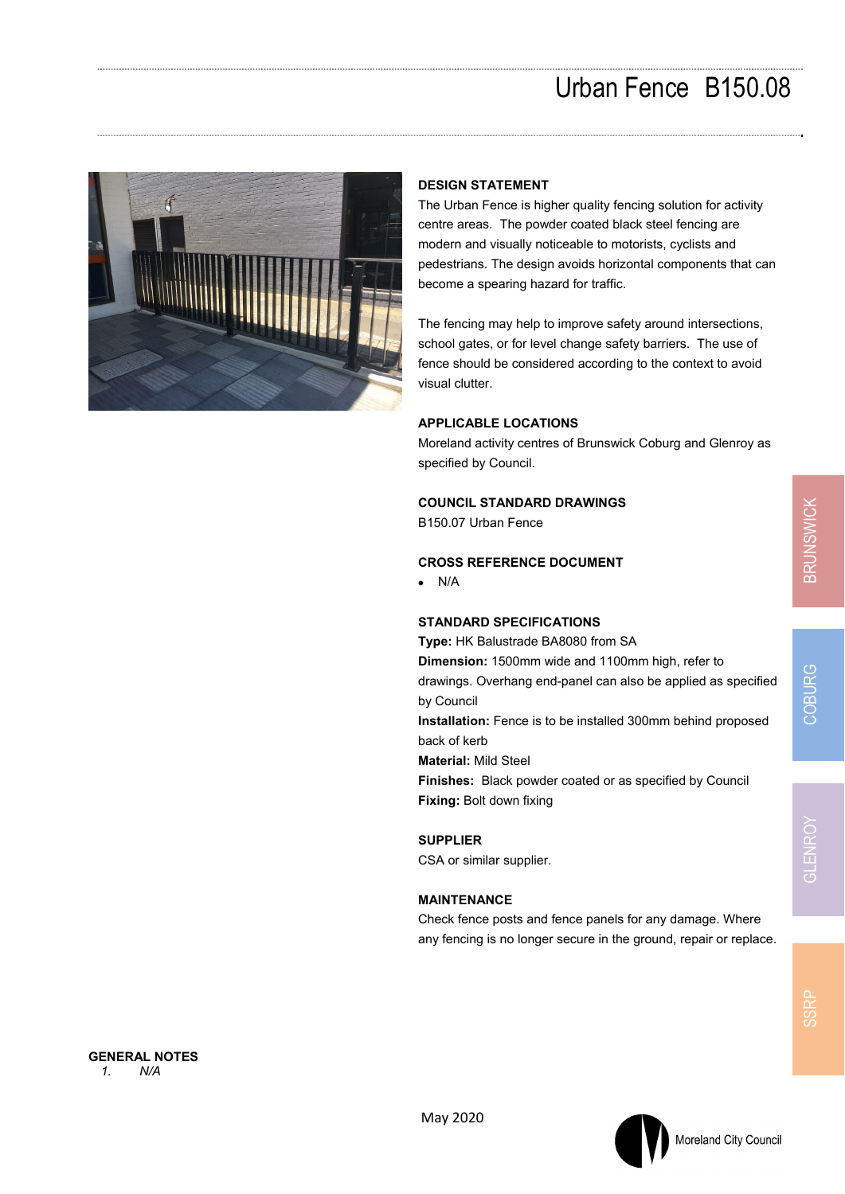## Urban Fence B150.08



### **DESIGN STATEMENT**

The Urban Fence is higher quality fencing solution for activity centre areas. The powder coated black steel fencing are modern and visually noticeable to motorists, cyclists and pedestrians. The design avoids horizontal components that can become a spearing hazard for traffic.

The fencing may help to improve safety around intersections, school gates, or for level change safety barriers. The use of fence should be considered according to the context to avoid visual clutter.

#### **APPLICABLE LOCATIONS**

Moreland activity centres of Brunswick Coburg and Glenroy as specified by Council.

#### **COUNCIL STANDARD DRAWINGS**

B150.07 Urban Fence

#### **CROSS REFERENCE DOCUMENT**

 $\bullet$  N/A

#### **STANDARD SPECIFICATIONS**

**Type:** HK Balustrade BA8080 from SA **Dimension:** 1500mm wide and 1100mm high, refer to drawings. Overhang end-panel can also be applied as specified by Council **Installation:** Fence is to be installed 300mm behind proposed back of kerb **Material:** Mild Steel **Finishes:** Black powder coated or as specified by Council **Fixing:** Bolt down fixing

**SUPPLIER**  CSA or similar supplier.

#### **MAINTENANCE**

Check fence posts and fence panels for any damage. Where any fencing is no longer secure in the ground, repair or replace.

Moreland City Council